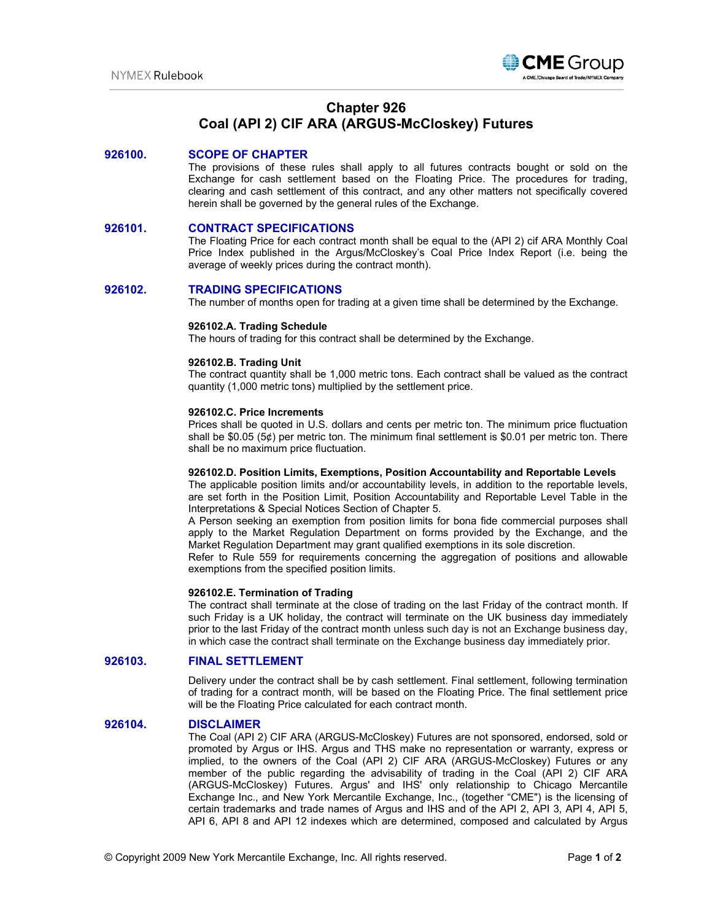

# **Chapter 926 Coal (API 2) CIF ARA (ARGUS-McCloskey) Futures**

# **926100. SCOPE OF CHAPTER**

The provisions of these rules shall apply to all futures contracts bought or sold on the Exchange for cash settlement based on the Floating Price. The procedures for trading, clearing and cash settlement of this contract, and any other matters not specifically covered herein shall be governed by the general rules of the Exchange.

# **926101. CONTRACT SPECIFICATIONS**

The Floating Price for each contract month shall be equal to the (API 2) cif ARA Monthly Coal Price Index published in the Argus/McCloskey's Coal Price Index Report (i.e. being the average of weekly prices during the contract month).

# **926102. TRADING SPECIFICATIONS**

The number of months open for trading at a given time shall be determined by the Exchange.

# **926102.A. Trading Schedule**

The hours of trading for this contract shall be determined by the Exchange.

# **926102.B. Trading Unit**

The contract quantity shall be 1,000 metric tons. Each contract shall be valued as the contract quantity (1,000 metric tons) multiplied by the settlement price.

#### **926102.C. Price Increments**

Prices shall be quoted in U.S. dollars and cents per metric ton. The minimum price fluctuation shall be \$0.05 (5¢) per metric ton. The minimum final settlement is \$0.01 per metric ton. There shall be no maximum price fluctuation.

# **926102.D. Position Limits, Exemptions, Position Accountability and Reportable Levels**

The applicable position limits and/or accountability levels, in addition to the reportable levels, are set forth in the Position Limit, Position Accountability and Reportable Level Table in the Interpretations & Special Notices Section of Chapter 5.

A Person seeking an exemption from position limits for bona fide commercial purposes shall apply to the Market Regulation Department on forms provided by the Exchange, and the Market Regulation Department may grant qualified exemptions in its sole discretion.

Refer to Rule 559 for requirements concerning the aggregation of positions and allowable exemptions from the specified position limits.

# **926102.E. Termination of Trading**

The contract shall terminate at the close of trading on the last Friday of the contract month. If such Friday is a UK holiday, the contract will terminate on the UK business day immediately prior to the last Friday of the contract month unless such day is not an Exchange business day, in which case the contract shall terminate on the Exchange business day immediately prior*.*

# **926103. FINAL SETTLEMENT**

Delivery under the contract shall be by cash settlement. Final settlement, following termination of trading for a contract month, will be based on the Floating Price. The final settlement price will be the Floating Price calculated for each contract month.

# **926104. DISCLAIMER**

The Coal (API 2) CIF ARA (ARGUS-McCloskey) Futures are not sponsored, endorsed, sold or promoted by Argus or IHS. Argus and THS make no representation or warranty, express or implied, to the owners of the Coal (API 2) CIF ARA (ARGUS-McCloskey) Futures or any member of the public regarding the advisability of trading in the Coal (API 2) CIF ARA (ARGUS-McCloskey) Futures. Argus' and IHS' only relationship to Chicago Mercantile Exchange Inc., and New York Mercantile Exchange, Inc., (together "CME") is the licensing of certain trademarks and trade names of Argus and IHS and of the API 2, API 3, API 4, API 5, API 6, API 8 and API 12 indexes which are determined, composed and calculated by Argus